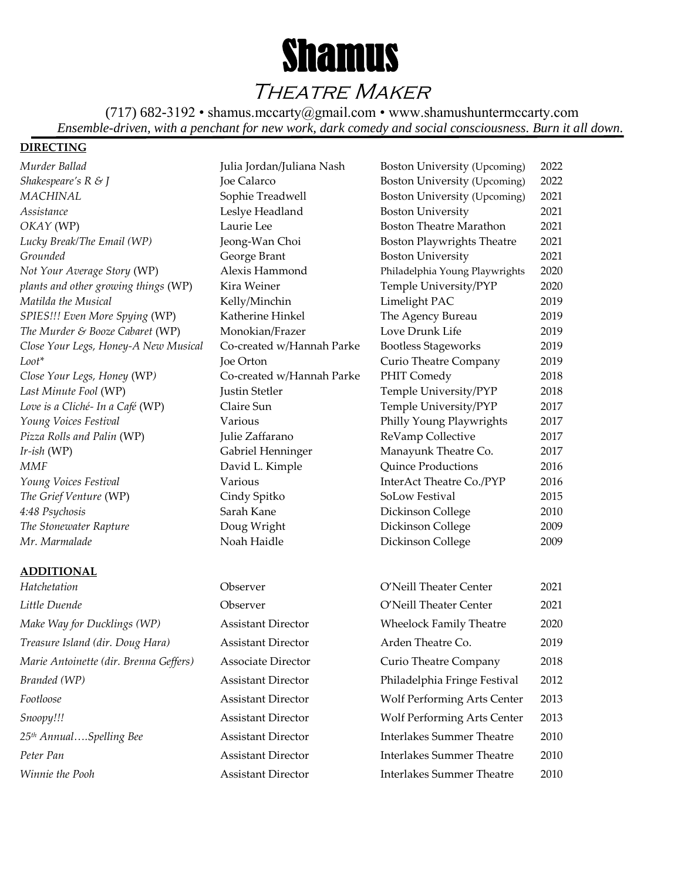

Theatre Maker

(717) 682-3192 • shamus.mccarty@gmail.com • www.shamushuntermccarty.com *Ensemble-driven, with a penchant for new work, dark comedy and social consciousness. Burn it all down.*

## **DIRECTING**

## **ADDITIONAL**

| Hatchetation                          |
|---------------------------------------|
| Little Duende                         |
| Make Way for Ducklings (WP)           |
| Treasure Island (dir. Doug Hara)      |
| Marie Antoinette (dir. Brenna Geffers |
| Branded (WP)                          |
| Footloose                             |
| Snoopy!!!                             |
| 25 <sup>th</sup> AnnualSpelling Bee   |
| Peter Pan                             |
| Winnie the Pooh                       |

| <b>ADDITIONAL</b>                      |                           |                                    |      |
|----------------------------------------|---------------------------|------------------------------------|------|
| Hatchetation                           | Observer                  | O'Neill Theater Center             | 2021 |
| Little Duende                          | Observer                  | O'Neill Theater Center             | 2021 |
| Make Way for Ducklings (WP)            | <b>Assistant Director</b> | <b>Wheelock Family Theatre</b>     | 2020 |
| Treasure Island (dir. Doug Hara)       | <b>Assistant Director</b> | Arden Theatre Co.                  | 2019 |
| Marie Antoinette (dir. Brenna Geffers) | <b>Associate Director</b> | Curio Theatre Company              | 2018 |
| Branded (WP)                           | <b>Assistant Director</b> | Philadelphia Fringe Festival       | 2012 |
| Footloose                              | <b>Assistant Director</b> | Wolf Performing Arts Center        | 2013 |
| Snoopy!!!                              | <b>Assistant Director</b> | <b>Wolf Performing Arts Center</b> | 2013 |
| 25 <sup>th</sup> AnnualSpelling Bee    | <b>Assistant Director</b> | <b>Interlakes Summer Theatre</b>   | 2010 |
| Peter Pan                              | <b>Assistant Director</b> | <b>Interlakes Summer Theatre</b>   | 2010 |
| Winnie the Pooh                        | <b>Assistant Director</b> | Interlakes Summer Theatre          | 2010 |

| Shakespeare's $R \mathrel{\otimes} J$ | Joe Calarco                                      | Boston University (Upcoming)      | 2022 |
|---------------------------------------|--------------------------------------------------|-----------------------------------|------|
| MACHINAL                              | Sophie Treadwell                                 | Boston University (Upcoming)      | 2021 |
| Assistance                            | Leslye Headland                                  | <b>Boston University</b>          | 2021 |
| OKAY (WP)                             | Laurie Lee                                       | <b>Boston Theatre Marathon</b>    | 2021 |
| Lucky Break/The Email (WP)            | Jeong-Wan Choi                                   | <b>Boston Playwrights Theatre</b> | 2021 |
| Grounded                              | George Brant                                     | <b>Boston University</b>          | 2021 |
| Not Your Average Story (WP)           | Alexis Hammond<br>Philadelphia Young Playwrights |                                   | 2020 |
| plants and other growing things (WP)  | Kira Weiner                                      | Temple University/PYP             | 2020 |
| Matilda the Musical                   | Kelly/Minchin                                    | Limelight PAC                     | 2019 |
| SPIES!!! Even More Spying (WP)        | Katherine Hinkel                                 | The Agency Bureau                 | 2019 |
| The Murder & Booze Cabaret (WP)       | Monokian/Frazer<br>Love Drunk Life               |                                   | 2019 |
| Close Your Legs, Honey-A New Musical  | Co-created w/Hannah Parke                        | <b>Bootless Stageworks</b>        | 2019 |
| Loot*                                 | Joe Orton                                        | <b>Curio Theatre Company</b>      | 2019 |
| Close Your Legs, Honey (WP)           | Co-created w/Hannah Parke                        | PHIT Comedy                       | 2018 |
| Last Minute Fool (WP)                 | Justin Stetler                                   | Temple University/PYP             | 2018 |
| Love is a Cliché- In a Café (WP)      | Claire Sun                                       | Temple University/PYP             | 2017 |
| Young Voices Festival                 | Various                                          | Philly Young Playwrights          | 2017 |
| Pizza Rolls and Palin (WP)            | Julie Zaffarano                                  | ReVamp Collective                 | 2017 |
| Ir-ish (WP)                           | Gabriel Henninger                                | Manayunk Theatre Co.              | 2017 |
| MMF                                   | David L. Kimple                                  | <b>Quince Productions</b>         | 2016 |
| Young Voices Festival                 | Various                                          | InterAct Theatre Co./PYP          | 2016 |
| The Grief Venture (WP)                | Cindy Spitko                                     | SoLow Festival                    | 2015 |
| 4:48 Psychosis                        | Sarah Kane                                       | Dickinson College                 | 2010 |
| The Stonewater Rapture                | Doug Wright                                      | Dickinson College                 | 2009 |
| Mr. Marmalade                         | Noah Haidle                                      | Dickinson College                 | 2009 |
|                                       |                                                  |                                   |      |